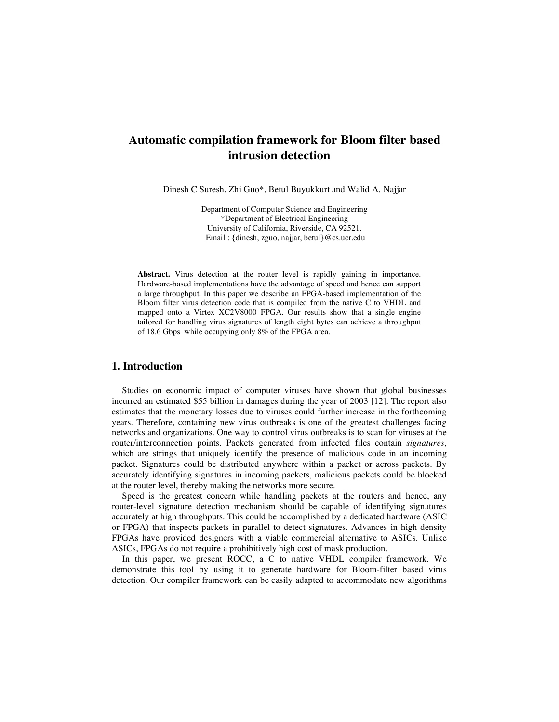# **Automatic compilation framework for Bloom filter based intrusion detection**

Dinesh C Suresh, Zhi Guo\*, Betul Buyukkurt and Walid A. Najjar

Department of Computer Science and Engineering \*Department of Electrical Engineering University of California, Riverside, CA 92521. Email : {dinesh, zguo, najjar, betul}@cs.ucr.edu

**Abstract.** Virus detection at the router level is rapidly gaining in importance. Hardware-based implementations have the advantage of speed and hence can support a large throughput. In this paper we describe an FPGA-based implementation of the Bloom filter virus detection code that is compiled from the native C to VHDL and mapped onto a Virtex XC2V8000 FPGA. Our results show that a single engine tailored for handling virus signatures of length eight bytes can achieve a throughput of 18.6 Gbps while occupying only 8% of the FPGA area.

# **1. Introduction**

Studies on economic impact of computer viruses have shown that global businesses incurred an estimated \$55 billion in damages during the year of 2003 [12]. The report also estimates that the monetary losses due to viruses could further increase in the forthcoming years. Therefore, containing new virus outbreaks is one of the greatest challenges facing networks and organizations. One way to control virus outbreaks is to scan for viruses at the router/interconnection points. Packets generated from infected files contain *signatures*, which are strings that uniquely identify the presence of malicious code in an incoming packet. Signatures could be distributed anywhere within a packet or across packets. By accurately identifying signatures in incoming packets, malicious packets could be blocked at the router level, thereby making the networks more secure.

Speed is the greatest concern while handling packets at the routers and hence, any router-level signature detection mechanism should be capable of identifying signatures accurately at high throughputs. This could be accomplished by a dedicated hardware (ASIC or FPGA) that inspects packets in parallel to detect signatures. Advances in high density FPGAs have provided designers with a viable commercial alternative to ASICs. Unlike ASICs, FPGAs do not require a prohibitively high cost of mask production.

In this paper, we present ROCC, a C to native VHDL compiler framework. We demonstrate this tool by using it to generate hardware for Bloom-filter based virus detection. Our compiler framework can be easily adapted to accommodate new algorithms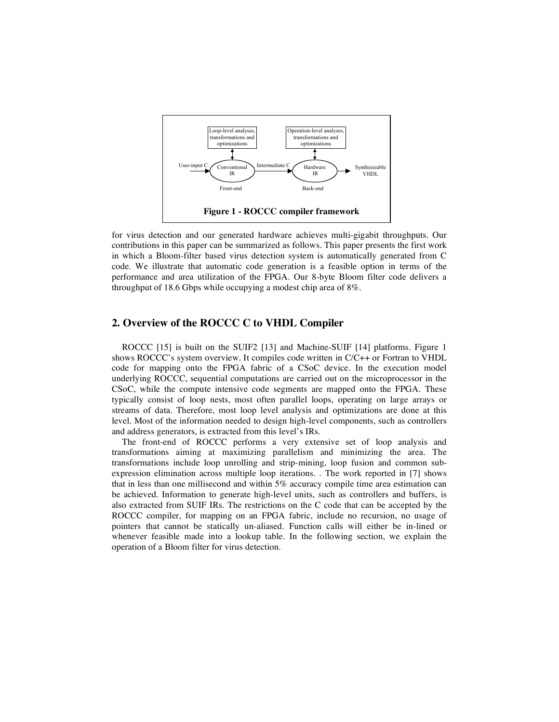

for virus detection and our generated hardware achieves multi-gigabit throughputs. Our contributions in this paper can be summarized as follows. This paper presents the first work in which a Bloom-filter based virus detection system is automatically generated from C code. We illustrate that automatic code generation is a feasible option in terms of the performance and area utilization of the FPGA. Our 8-byte Bloom filter code delivers a throughput of 18.6 Gbps while occupying a modest chip area of 8%.

### **2. Overview of the ROCCC C to VHDL Compiler**

ROCCC [15] is built on the SUIF2 [13] and Machine-SUIF [14] platforms. Figure 1 shows ROCCC's system overview. It compiles code written in C/C++ or Fortran to VHDL code for mapping onto the FPGA fabric of a CSoC device. In the execution model underlying ROCCC, sequential computations are carried out on the microprocessor in the CSoC, while the compute intensive code segments are mapped onto the FPGA. These typically consist of loop nests, most often parallel loops, operating on large arrays or streams of data. Therefore, most loop level analysis and optimizations are done at this level. Most of the information needed to design high-level components, such as controllers and address generators, is extracted from this level's IRs.

The front-end of ROCCC performs a very extensive set of loop analysis and transformations aiming at maximizing parallelism and minimizing the area. The transformations include loop unrolling and strip-mining, loop fusion and common subexpression elimination across multiple loop iterations. . The work reported in [7] shows that in less than one millisecond and within 5% accuracy compile time area estimation can be achieved. Information to generate high-level units, such as controllers and buffers, is also extracted from SUIF IRs. The restrictions on the C code that can be accepted by the ROCCC compiler, for mapping on an FPGA fabric, include no recursion, no usage of pointers that cannot be statically un-aliased. Function calls will either be in-lined or whenever feasible made into a lookup table. In the following section, we explain the operation of a Bloom filter for virus detection.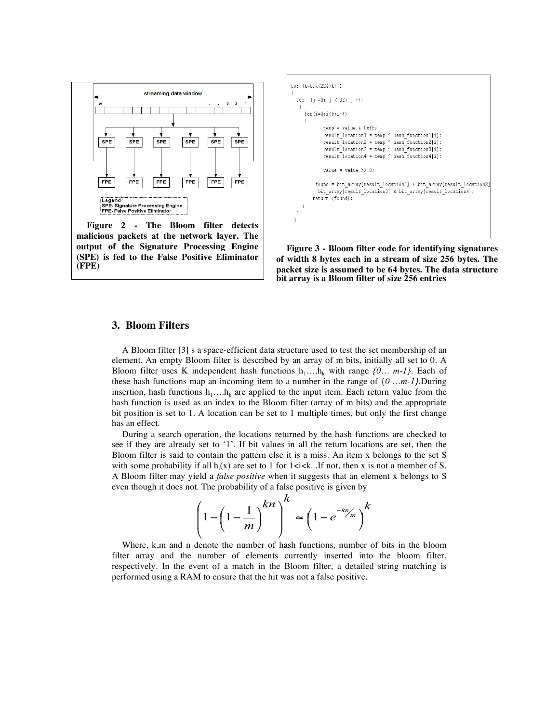

**malicious packets at the network layer. The output of the Signature Processing Engine (SPE) is fed to the False Positive Eliminator (FPE)**



**Figure 3 - Bloom filter code for identifying signatures of width 8 bytes each in a stream of size 256 bytes. The packet size is assumed to be 64 bytes. The data structure bit array is a Bloom filter of size 256 entries**

## **3. Bloom Filters**

A Bloom filter [3] s a space-efficient data structure used to test the set membership of an element. An empty Bloom filter is described by an array of m bits, initially all set to 0. A Bloom filter uses K independent hash functions  $h_1$ ...,  $h_k$  with range  $\{0...$  *m-1}*. Each of these hash functions map an incoming item to a number in the range of {*0 …m-1}.*During insertion, hash functions  $h_1$ …. $h_k$  are applied to the input item. Each return value from the hash function is used as an index to the Bloom filter (array of m bits) and the appropriate bit position is set to 1. A location can be set to 1 multiple times, but only the first change has an effect.

During a search operation, the locations returned by the hash functions are checked to see if they are already set to '1'. If bit values in all the return locations are set, then the Bloom filter is said to contain the pattern else it is a miss. An item x belongs to the set S with some probability if all  $h_i(x)$  are set to 1 for  $1 \le i \le k$ . If not, then x is not a member of S. A Bloom filter may yield a *false positive* when it suggests that an element x belongs to S even though it does not. The probability of a false positive is given by

$$
\left(1 - \left(1 - \frac{1}{m}\right)^{kn}\right)^k \approx \left(1 - e^{-k\eta_m'}\right)^k
$$

Where, k,m and n denote the number of hash functions, number of bits in the bloom filter array and the number of elements currently inserted into the bloom filter, respectively. In the event of a match in the Bloom filter, a detailed string matching is performed using a RAM to ensure that the hit was not a false positive.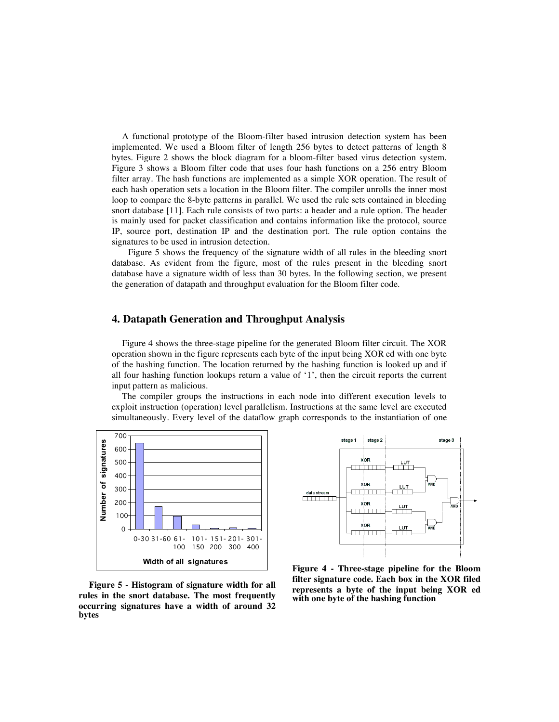A functional prototype of the Bloom-filter based intrusion detection system has been implemented. We used a Bloom filter of length 256 bytes to detect patterns of length 8 bytes. Figure 2 shows the block diagram for a bloom-filter based virus detection system. Figure 3 shows a Bloom filter code that uses four hash functions on a 256 entry Bloom filter array. The hash functions are implemented as a simple XOR operation. The result of each hash operation sets a location in the Bloom filter. The compiler unrolls the inner most loop to compare the 8-byte patterns in parallel. We used the rule sets contained in bleeding snort database [11]. Each rule consists of two parts: a header and a rule option. The header is mainly used for packet classification and contains information like the protocol, source IP, source port, destination IP and the destination port. The rule option contains the signatures to be used in intrusion detection.

Figure 5 shows the frequency of the signature width of all rules in the bleeding snort database. As evident from the figure, most of the rules present in the bleeding snort database have a signature width of less than 30 bytes. In the following section, we present the generation of datapath and throughput evaluation for the Bloom filter code.

### **4. Datapath Generation and Throughput Analysis**

Figure 4 shows the three-stage pipeline for the generated Bloom filter circuit. The XOR operation shown in the figure represents each byte of the input being XOR ed with one byte of the hashing function. The location returned by the hashing function is looked up and if all four hashing function lookups return a value of '1', then the circuit reports the current input pattern as malicious.

The compiler groups the instructions in each node into different execution levels to exploit instruction (operation) level parallelism. Instructions at the same level are executed simultaneously. Every level of the dataflow graph corresponds to the instantiation of one



**Figure 5 - Histogram of signature width for all rules in the snort database. The most frequently occurring signatures have a width of around 32 bytes**



**Figure 4 - Three-stage pipeline for the Bloom filter signature code. Each box in the XOR filed represents a byte of the input being XOR ed with one byte of the hashing function**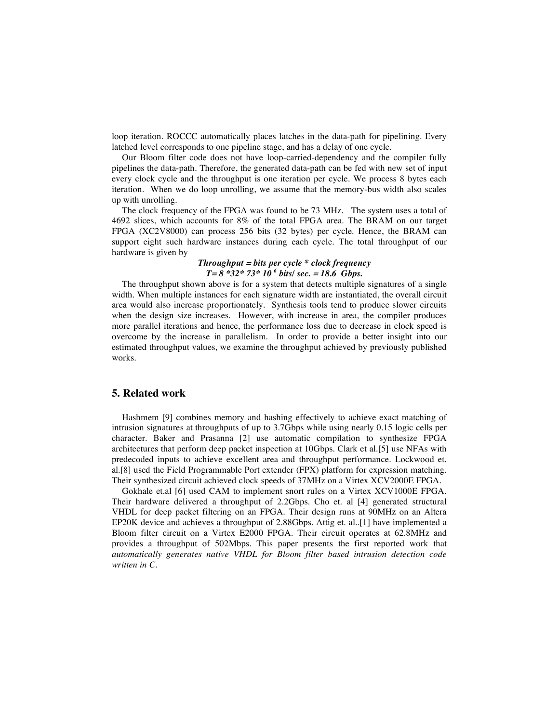loop iteration. ROCCC automatically places latches in the data-path for pipelining. Every latched level corresponds to one pipeline stage, and has a delay of one cycle.

Our Bloom filter code does not have loop-carried-dependency and the compiler fully pipelines the data-path. Therefore, the generated data-path can be fed with new set of input every clock cycle and the throughput is one iteration per cycle. We process 8 bytes each iteration. When we do loop unrolling, we assume that the memory-bus width also scales up with unrolling.

The clock frequency of the FPGA was found to be 73 MHz. The system uses a total of 4692 slices, which accounts for 8% of the total FPGA area. The BRAM on our target FPGA (XC2V8000) can process 256 bits (32 bytes) per cycle. Hence, the BRAM can support eight such hardware instances during each cycle. The total throughput of our hardware is given by

#### *Throughput = bits per cycle \* clock frequency T= 8 \*32\* 73\* 10 <sup>6</sup> bits/ sec. = 18.6 Gbps.*

The throughput shown above is for a system that detects multiple signatures of a single width. When multiple instances for each signature width are instantiated, the overall circuit area would also increase proportionately. Synthesis tools tend to produce slower circuits when the design size increases. However, with increase in area, the compiler produces more parallel iterations and hence, the performance loss due to decrease in clock speed is overcome by the increase in parallelism. In order to provide a better insight into our estimated throughput values, we examine the throughput achieved by previously published works.

### **5. Related work**

Hashmem [9] combines memory and hashing effectively to achieve exact matching of intrusion signatures at throughputs of up to 3.7Gbps while using nearly 0.15 logic cells per character. Baker and Prasanna [2] use automatic compilation to synthesize FPGA architectures that perform deep packet inspection at 10Gbps. Clark et al.[5] use NFAs with predecoded inputs to achieve excellent area and throughput performance. Lockwood et. al.[8] used the Field Programmable Port extender (FPX) platform for expression matching. Their synthesized circuit achieved clock speeds of 37MHz on a Virtex XCV2000E FPGA.

Gokhale et.al [6] used CAM to implement snort rules on a Virtex XCV1000E FPGA. Their hardware delivered a throughput of 2.2Gbps. Cho et. al [4] generated structural VHDL for deep packet filtering on an FPGA. Their design runs at 90MHz on an Altera EP20K device and achieves a throughput of 2.88Gbps. Attig et. al..[1] have implemented a Bloom filter circuit on a Virtex E2000 FPGA. Their circuit operates at 62.8MHz and provides a throughput of 502Mbps. This paper presents the first reported work that *automatically generates native VHDL for Bloom filter based intrusion detection code written in C*.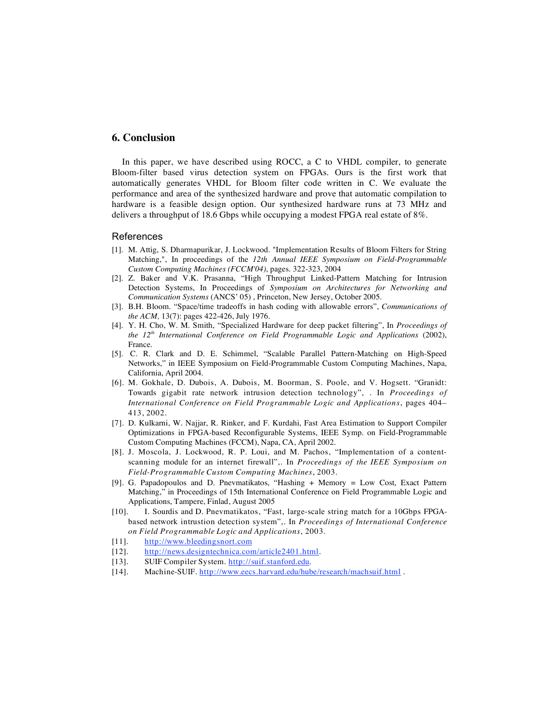# **6. Conclusion**

In this paper, we have described using ROCC, a C to VHDL compiler, to generate Bloom-filter based virus detection system on FPGAs. Ours is the first work that automatically generates VHDL for Bloom filter code written in C. We evaluate the performance and area of the synthesized hardware and prove that automatic compilation to hardware is a feasible design option. Our synthesized hardware runs at 73 MHz and delivers a throughput of 18.6 Gbps while occupying a modest FPGA real estate of 8%.

#### References

- [1]. M. Attig, S. Dharmapurikar, J. Lockwood. "Implementation Results of Bloom Filters for String Matching,", In proceedings of the *12th Annual IEEE Symposium on Field-Programmable Custom Computing Machines (FCCM'04)*, pages. 322-323, 2004
- [2]. Z. Baker and V.K. Prasanna, "High Throughput Linked-Pattern Matching for Intrusion Detection Systems, In Proceedings of *Symposium on Architectures for Networking and Communication Systems* (ANCS' 05) , Princeton, New Jersey, October 2005.
- [3]. B.H. Bloom. "Space/time tradeoffs in hash coding with allowable errors", *Communications of the ACM,* 13(7): pages 422-426, July 1976.
- [4]. Y. H. Cho, W. M. Smith, "Specialized Hardware for deep packet filtering", In *Proceedings of the 12th International Conference on Field Programmable Logic and Applications* (2002), France.
- [5]. C. R. Clark and D. E. Schimmel, "Scalable Parallel Pattern-Matching on High-Speed Networks," in IEEE Symposium on Field-Programmable Custom Computing Machines, Napa, California, April 2004.
- [6]. M. Gokhale, D. Dubois, A. Dubois, M. Boorman, S. Poole, and V. Hogsett. "Granidt: Towards gigabit rate network intrusion detection technology", . In *Proceedings of International Conference on Field Programmable Logic and Applications*, pages 404– 413, 2002.
- [7]. D. Kulkarni, W. Najjar, R. Rinker, and F. Kurdahi, Fast Area Estimation to Support Compiler Optimizations in FPGA-based Reconfigurable Systems, IEEE Symp. on Field-Programmable Custom Computing Machines (FCCM), Napa, CA, April 2002.
- [8]. J. Moscola, J. Lockwood, R. P. Loui, and M. Pachos, "Implementation of a contentscanning module for an internet firewall",. In *Proceedings of the IEEE Symposium on Field-Programmable Custom Computing Machines*, 2003.
- [9]. G. Papadopoulos and D. Pnevmatikatos, "Hashing + Memory = Low Cost, Exact Pattern Matching," in Proceedings of 15th International Conference on Field Programmable Logic and Applications, Tampere, Finlad, August 2005
- [10]. I. Sourdis and D. Pnevmatikatos, "Fast, large-scale string match for a 10Gbps FPGAbased network intrustion detection system",. In *Proceedings of International Conference on Field Programmable Logic and Applications*, 2003.
- [11]. http://www.bleedingsnort.com
- [12]. http://news.designtechnica.com/article2401.html.
- [13]. SUIF Compiler System. http://suif.stanford.edu.
- [14]. Machine-SUIF. http://www.eecs.harvard.edu/hube/research/machsuif.html.